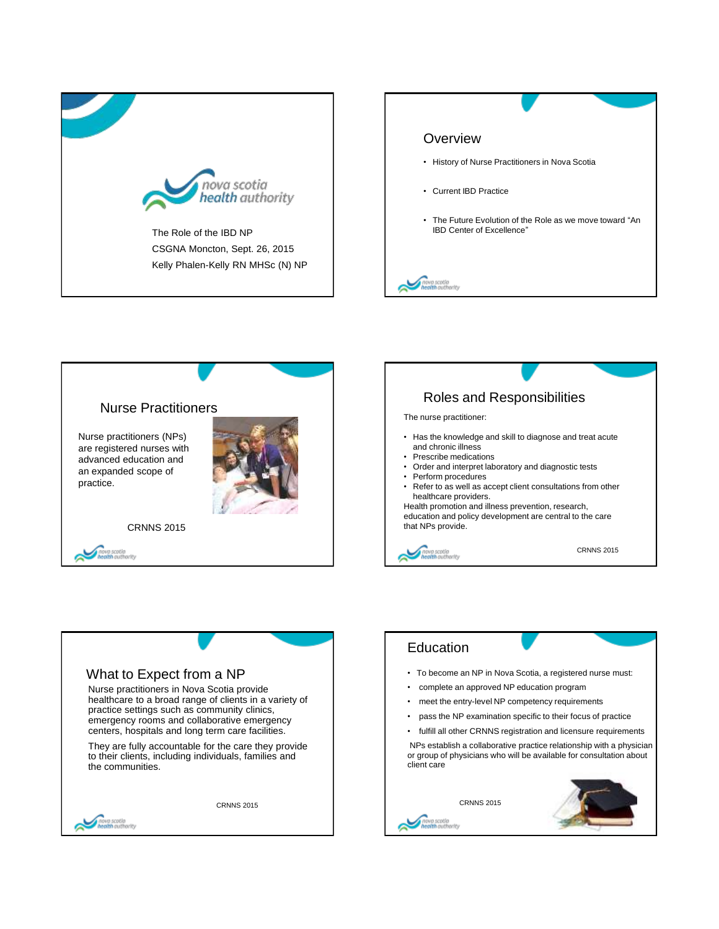







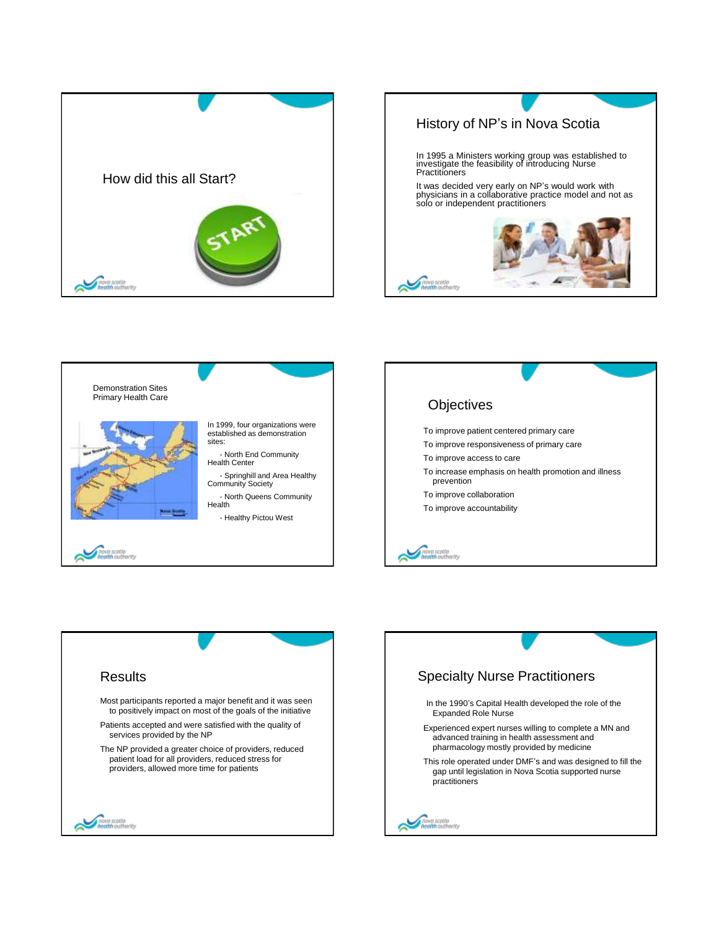







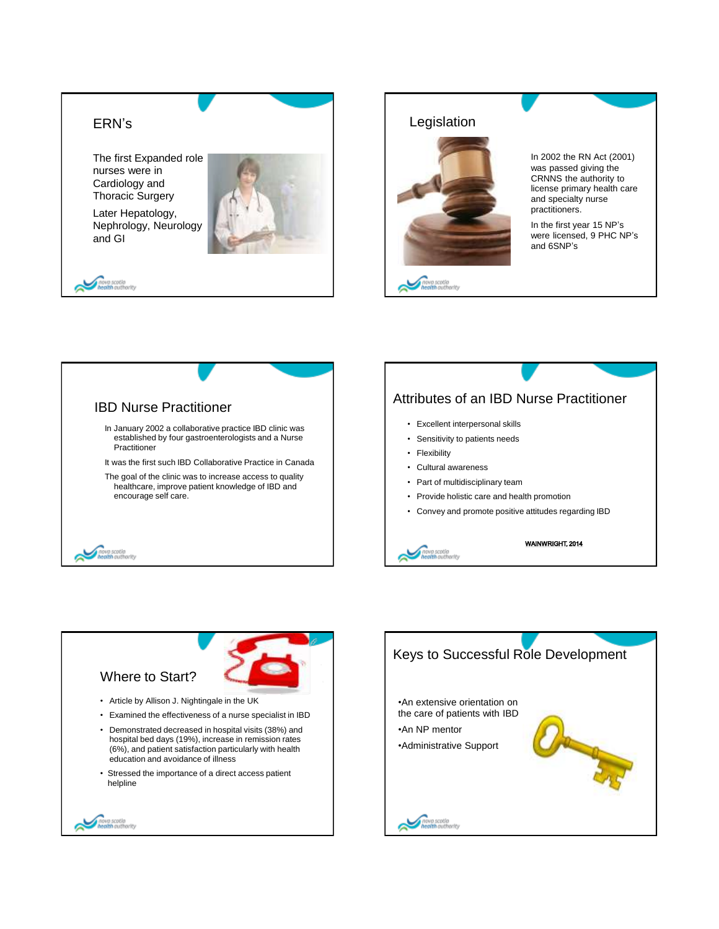



In 2002 the RN Act (2001) was passed giving the CRNNS the authority to license primary health care and specialty nurse practitioners.

In the first year 15 NP's were licensed, 9 PHC NP's and 6SNP's



## Attributes of an IBD Nurse Practitioner

- Excellent interpersonal skills
- Sensitivity to patients needs
- Flexibility
- Cultural awareness
- Part of multidisciplinary team
- Provide holistic care and health promotion
- Convey and promote positive attitudes regarding IBD



WAINWRIGHT, 2014



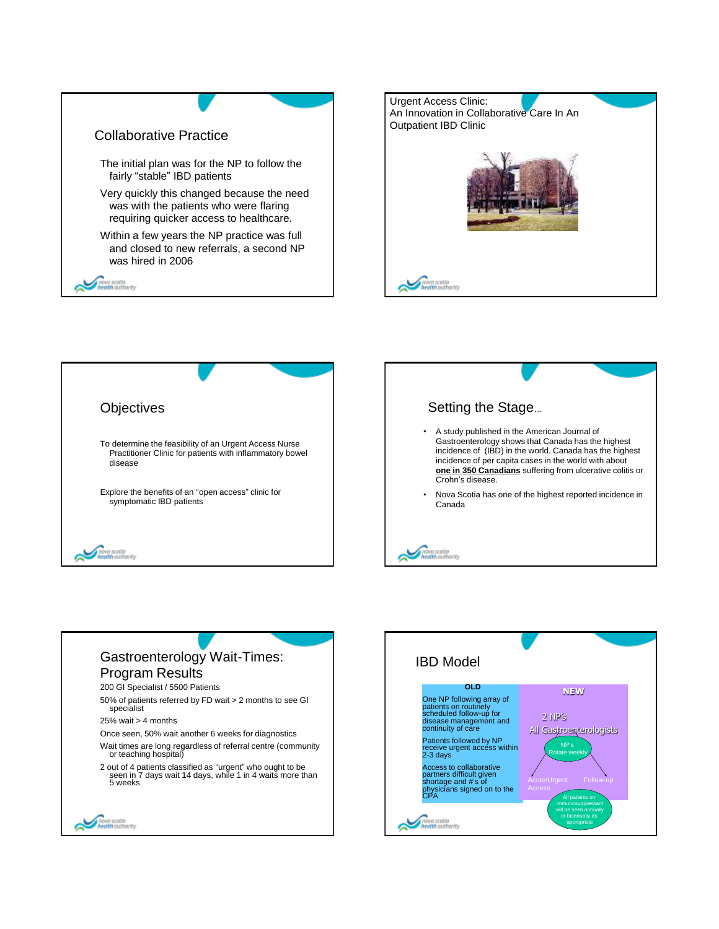







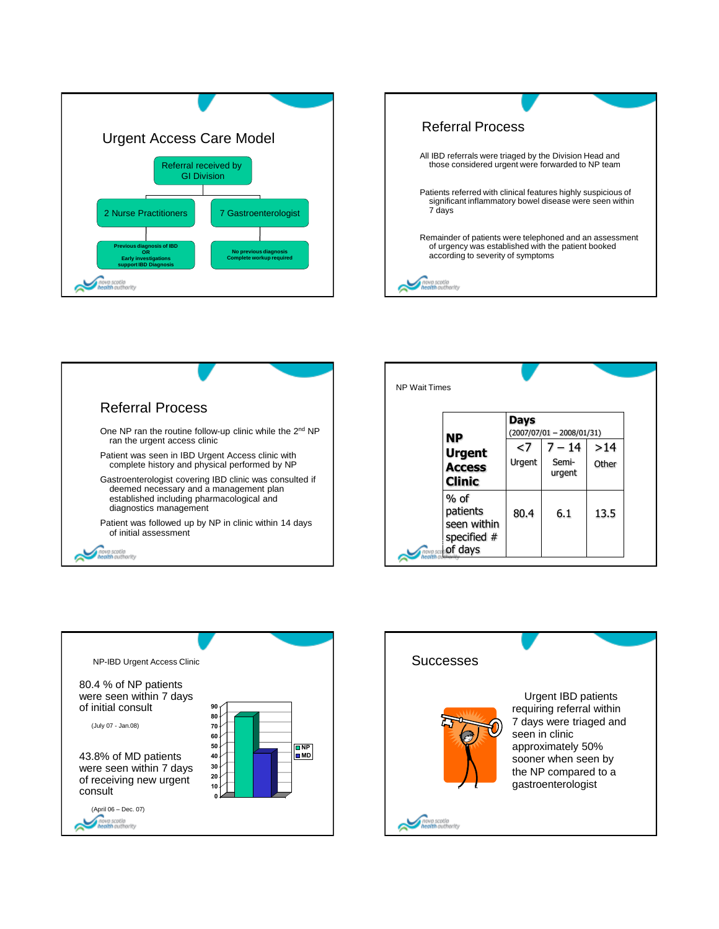









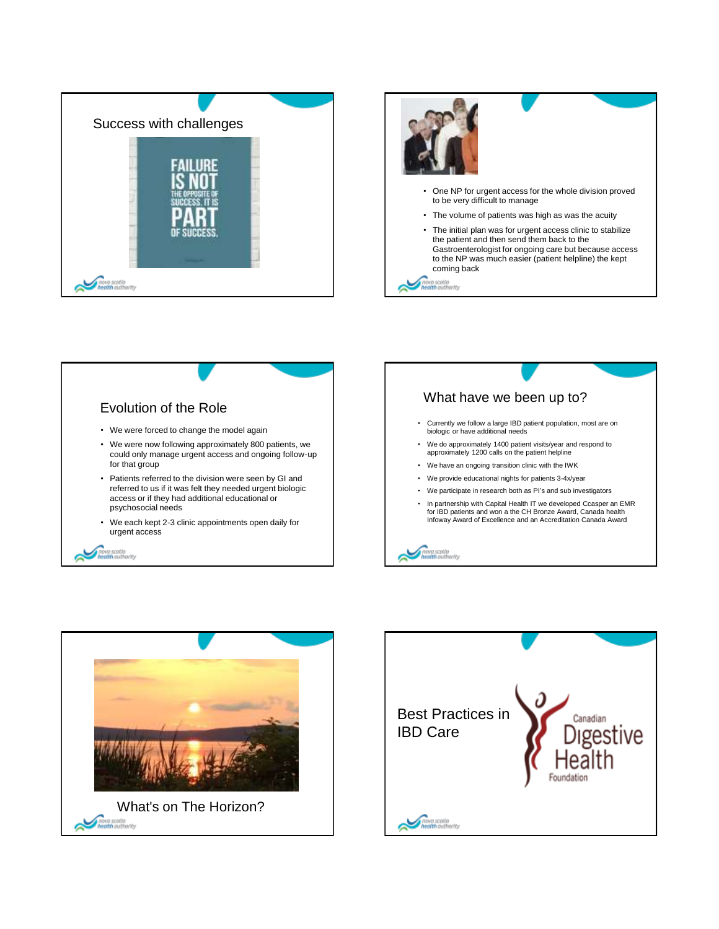







• In partnership with Capital Health IT we developed Ccasper an EMR for IBD patients and won a the CH Bronze Award, Canada health Infoway Award of Excellence and an Accreditation Canada Award

wa scotia